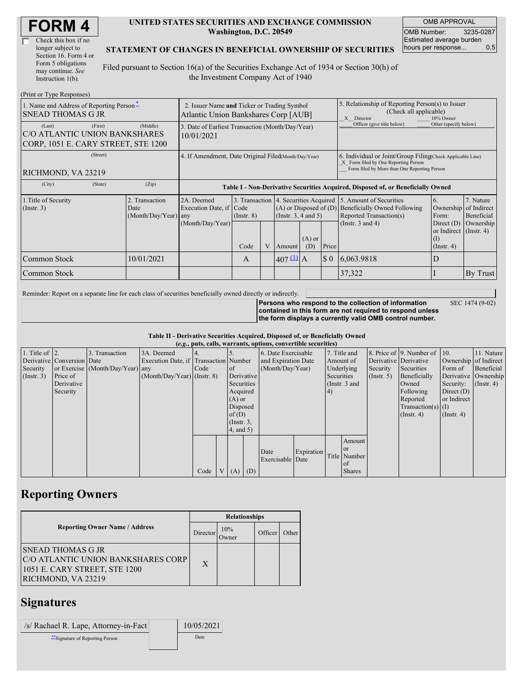| <b>FORM4</b> |
|--------------|
|--------------|

| Check this box if no  |
|-----------------------|
| longer subject to     |
| Section 16. Form 4 or |
| Form 5 obligations    |
| may continue. See     |
| Instruction $1(b)$ .  |

#### **UNITED STATES SECURITIES AND EXCHANGE COMMISSION Washington, D.C. 20549**

OMB APPROVAL OMB Number: 3235-0287 Estimated average burden hours per response... 0.5

SEC 1474 (9-02)

### **STATEMENT OF CHANGES IN BENEFICIAL OWNERSHIP OF SECURITIES**

Filed pursuant to Section 16(a) of the Securities Exchange Act of 1934 or Section 30(h) of the Investment Company Act of 1940

| (Print or Type Responses)                                                                 |                                                                                     |                                                                                  |                 |   |                                                                                                 |                                                                                                                                                    |                                                                                                       |                                                                                    |                                                                            |                         |
|-------------------------------------------------------------------------------------------|-------------------------------------------------------------------------------------|----------------------------------------------------------------------------------|-----------------|---|-------------------------------------------------------------------------------------------------|----------------------------------------------------------------------------------------------------------------------------------------------------|-------------------------------------------------------------------------------------------------------|------------------------------------------------------------------------------------|----------------------------------------------------------------------------|-------------------------|
| 1. Name and Address of Reporting Person-<br><b>SNEAD THOMAS G JR</b>                      | 2. Issuer Name and Ticker or Trading Symbol<br>Atlantic Union Bankshares Corp [AUB] |                                                                                  |                 |   |                                                                                                 |                                                                                                                                                    | 5. Relationship of Reporting Person(s) to Issuer<br>(Check all applicable)<br>10% Owner<br>X Director |                                                                                    |                                                                            |                         |
| (First)<br>(Last)<br>C/O ATLANTIC UNION BANKSHARES<br>CORP, 1051 E. CARY STREET, STE 1200 | 3. Date of Earliest Transaction (Month/Day/Year)<br>10/01/2021                      |                                                                                  |                 |   |                                                                                                 |                                                                                                                                                    | Officer (give title below)                                                                            | Other (specify below)                                                              |                                                                            |                         |
| (Street)<br>RICHMOND, VA 23219                                                            | 4. If Amendment, Date Original Filed(Month/Day/Year)                                |                                                                                  |                 |   |                                                                                                 | 6. Individual or Joint/Group Filing Check Applicable Line)<br>X Form filed by One Reporting Person<br>Form filed by More than One Reporting Person |                                                                                                       |                                                                                    |                                                                            |                         |
| (City)<br>(State)                                                                         | (Zip)                                                                               | Table I - Non-Derivative Securities Acquired, Disposed of, or Beneficially Owned |                 |   |                                                                                                 |                                                                                                                                                    |                                                                                                       |                                                                                    |                                                                            |                         |
| 1. Title of Security<br>$($ Instr. 3 $)$                                                  | 2. Transaction<br>Date<br>$(Month/Day/Year)$ any                                    | 2A. Deemed<br>Execution Date, if Code                                            | $($ Instr. $8)$ |   | 3. Transaction 4. Securities Acquired<br>$(A)$ or Disposed of $(D)$<br>(Instr. $3, 4$ and $5$ ) |                                                                                                                                                    |                                                                                                       | 5. Amount of Securities<br>Beneficially Owned Following<br>Reported Transaction(s) | 6.<br>Ownership of Indirect<br>Form:                                       | 7. Nature<br>Beneficial |
|                                                                                           |                                                                                     | (Month/Day/Year)                                                                 | Code            | V | Amount                                                                                          | $(A)$ or<br>(D)                                                                                                                                    | Price                                                                                                 | (Instr. $3$ and $4$ )                                                              | Direct $(D)$<br>or Indirect (Instr. 4)<br>$\rm _{(I)}$<br>$($ Instr. 4 $)$ | Ownership               |
| Common Stock                                                                              | 10/01/2021                                                                          |                                                                                  | A               |   | $407 \underline{u}$ A                                                                           |                                                                                                                                                    | $\S$ 0                                                                                                | 6,063.9818                                                                         | D                                                                          |                         |
| Common Stock                                                                              |                                                                                     |                                                                                  |                 |   |                                                                                                 |                                                                                                                                                    |                                                                                                       | 37,322                                                                             |                                                                            | By Trust                |

Reminder: Report on a separate line for each class of securities beneficially owned directly or indirectly.

**Persons who respond to the collection of information contained in this form are not required to respond unless the form displays a currently valid OMB control number.**

**Table II - Derivative Securities Acquired, Disposed of, or Beneficially Owned**

| (e.g., puts, calls, warrants, options, convertible securities) |                            |                                  |                                       |      |                |             |                     |                          |            |               |               |                       |                              |              |                       |
|----------------------------------------------------------------|----------------------------|----------------------------------|---------------------------------------|------|----------------|-------------|---------------------|--------------------------|------------|---------------|---------------|-----------------------|------------------------------|--------------|-----------------------|
| 1. Title of $\vert$ 2.                                         |                            | 3. Transaction                   | 3A. Deemed                            |      |                |             |                     | 6. Date Exercisable      |            | 7. Title and  |               |                       | 8. Price of 9. Number of 10. |              | 11. Nature            |
|                                                                | Derivative Conversion Date |                                  | Execution Date, if Transaction Number |      |                |             | and Expiration Date |                          |            | Amount of     |               | Derivative Derivative |                              |              | Ownership of Indirect |
| Security                                                       |                            | or Exercise (Month/Day/Year) any |                                       | Code | <sub>of</sub>  |             |                     | (Month/Day/Year)         |            |               | Underlying    | Security              | Securities                   | Form of      | Beneficial            |
| (Insert. 3)                                                    | Price of                   |                                  | $(Month/Day/Year)$ (Instr. 8)         |      |                | Derivative  |                     |                          |            |               | Securities    | $($ Instr. 5 $)$      | Beneficially                 |              | Derivative Ownership  |
|                                                                | Derivative                 |                                  |                                       |      |                | Securities  |                     |                          |            | (Instr. 3 and |               |                       | Owned                        | Security:    | $($ Instr. 4 $)$      |
|                                                                | Security                   |                                  |                                       |      |                | Acquired    |                     |                          |            | 4)            |               |                       | Following                    | Direct $(D)$ |                       |
|                                                                |                            |                                  |                                       |      |                | $(A)$ or    |                     |                          |            |               |               | Reported              | or Indirect                  |              |                       |
|                                                                |                            |                                  |                                       |      |                | Disposed    |                     |                          |            |               |               | $Transaction(s)$ (I)  |                              |              |                       |
|                                                                |                            |                                  |                                       |      |                | of $(D)$    |                     |                          |            |               |               | $($ Instr. 4)         | $($ Instr. 4 $)$             |              |                       |
|                                                                |                            |                                  |                                       |      |                |             | $($ Instr. $3,$     |                          |            |               |               |                       |                              |              |                       |
|                                                                |                            |                                  |                                       |      |                | 4, and 5)   |                     |                          |            |               |               |                       |                              |              |                       |
|                                                                |                            |                                  |                                       |      |                |             |                     |                          |            |               | Amount        |                       |                              |              |                       |
|                                                                |                            |                                  |                                       |      |                |             |                     |                          |            |               | <sub>or</sub> |                       |                              |              |                       |
|                                                                |                            |                                  |                                       |      |                |             |                     | Date<br>Exercisable Date | Expiration |               | Title Number  |                       |                              |              |                       |
|                                                                |                            |                                  |                                       |      |                |             |                     |                          |            |               | of            |                       |                              |              |                       |
|                                                                |                            |                                  |                                       | Code | V <sub>1</sub> | $(A)$ $(D)$ |                     |                          |            |               | <b>Shares</b> |                       |                              |              |                       |

## **Reporting Owners**

|                                                                                                                       | <b>Relationships</b> |              |         |       |  |  |  |
|-----------------------------------------------------------------------------------------------------------------------|----------------------|--------------|---------|-------|--|--|--|
| <b>Reporting Owner Name / Address</b>                                                                                 | Director             | 10%<br>Owner | Officer | Other |  |  |  |
| <b>SNEAD THOMAS G JR</b><br>C/O ATLANTIC UNION BANKSHARES CORP<br>1051 E. CARY STREET, STE 1200<br>RICHMOND, VA 23219 | X                    |              |         |       |  |  |  |

### **Signatures**

| /s/ Rachael R. Lape, Attorney-in-Fact | 10/05/2021 |
|---------------------------------------|------------|
| Signature of Reporting Person         | Date       |